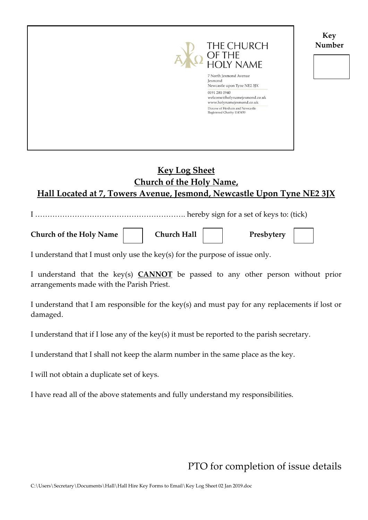**Key Number**



## **Key Log Sheet Church of the Holy Name, Hall Located at 7, Towers Avenue, Jesmond, Newcastle Upon Tyne NE2 3JX**

I ……………………………………………………. hereby sign for a set of keys to: (tick)

Church of the Holy Name **Church Hall Presbytery** 

I understand that I must only use the key(s) for the purpose of issue only.

I understand that the key(s) **CANNOT** be passed to any other person without prior arrangements made with the Parish Priest.

I understand that I am responsible for the key(s) and must pay for any replacements if lost or damaged.

I understand that if I lose any of the key(s) it must be reported to the parish secretary.

I understand that I shall not keep the alarm number in the same place as the key.

I will not obtain a duplicate set of keys.

I have read all of the above statements and fully understand my responsibilities.

PTO for completion of issue details